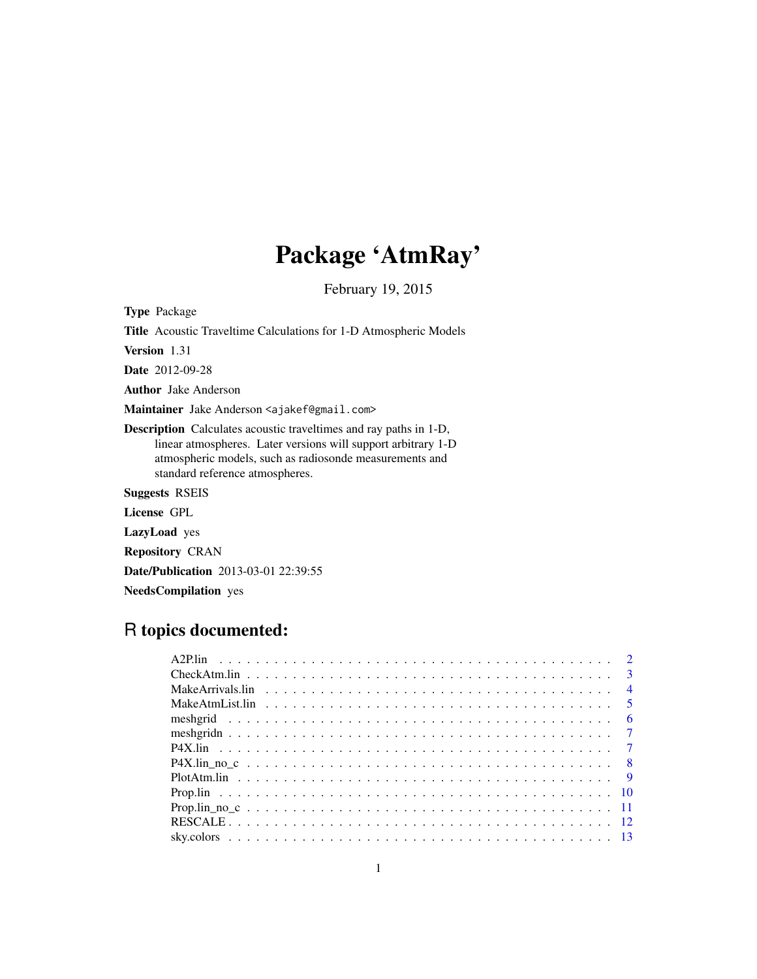## Package 'AtmRay'

February 19, 2015

Type Package Title Acoustic Traveltime Calculations for 1-D Atmospheric Models Version 1.31 Date 2012-09-28 Author Jake Anderson Maintainer Jake Anderson <ajakef@gmail.com> Description Calculates acoustic traveltimes and ray paths in 1-D, linear atmospheres. Later versions will support arbitrary 1-D atmospheric models, such as radiosonde measurements and standard reference atmospheres. Suggests RSEIS License GPL LazyLoad yes Repository CRAN Date/Publication 2013-03-01 22:39:55

### NeedsCompilation yes

## R topics documented: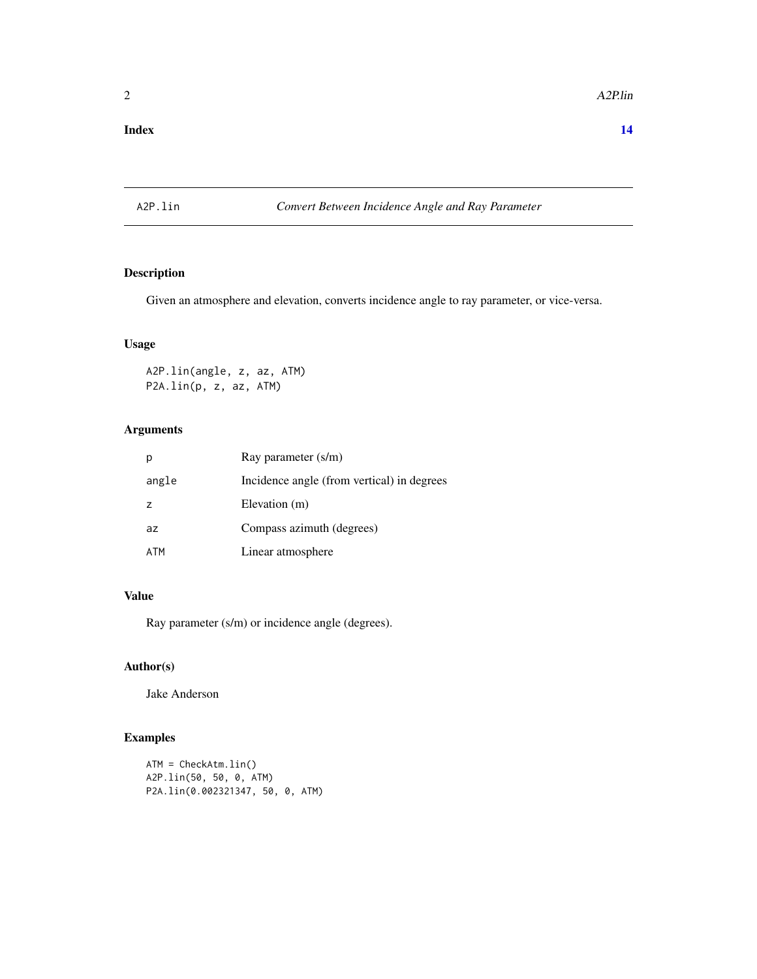#### <span id="page-1-0"></span>**Index** 2008 **[14](#page-13-0)**

#### A2P.lin *Convert Between Incidence Angle and Ray Parameter*

#### Description

Given an atmosphere and elevation, converts incidence angle to ray parameter, or vice-versa.

#### Usage

A2P.lin(angle, z, az, ATM) P2A.lin(p, z, az, ATM)

#### Arguments

|                | Ray parameter (s/m)                        |
|----------------|--------------------------------------------|
| angle          | Incidence angle (from vertical) in degrees |
| $\overline{z}$ | Elevation (m)                              |
| az             | Compass azimuth (degrees)                  |
| ATM            | Linear atmosphere                          |

#### Value

Ray parameter (s/m) or incidence angle (degrees).

#### Author(s)

Jake Anderson

#### Examples

```
ATM = CheckAtm.lin()
A2P.lin(50, 50, 0, ATM)
P2A.lin(0.002321347, 50, 0, ATM)
```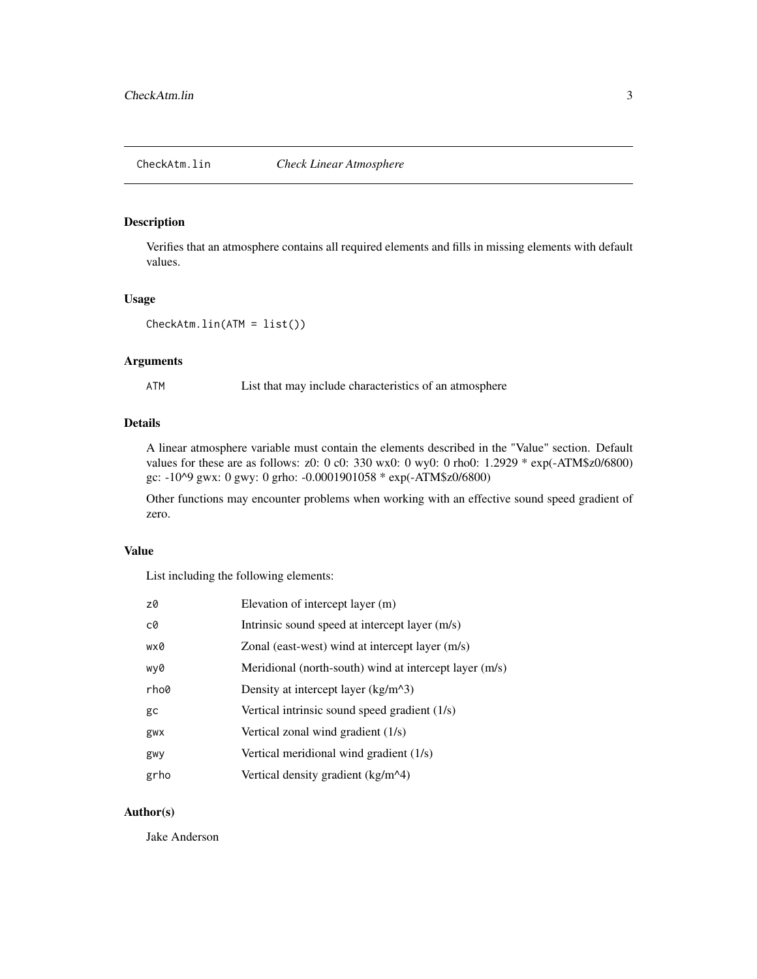#### <span id="page-2-0"></span>Description

Verifies that an atmosphere contains all required elements and fills in missing elements with default values.

#### Usage

```
CheckAtm.lin(ATM = list())
```
#### Arguments

ATM List that may include characteristics of an atmosphere

#### Details

A linear atmosphere variable must contain the elements described in the "Value" section. Default values for these are as follows: z0: 0 c0: 330 wx0: 0 wy0: 0 rho0: 1.2929 \* exp(-ATM\$z0/6800) gc: -10^9 gwx: 0 gwy: 0 grho: -0.0001901058 \* exp(-ATM\$z0/6800)

Other functions may encounter problems when working with an effective sound speed gradient of zero.

#### Value

List including the following elements:

| z0   | Elevation of intercept layer (m)                       |
|------|--------------------------------------------------------|
| c0   | Intrinsic sound speed at intercept layer (m/s)         |
| wx0  | Zonal (east-west) wind at intercept layer (m/s)        |
| wy0  | Meridional (north-south) wind at intercept layer (m/s) |
| rho0 | Density at intercept layer $(kg/m^3)$                  |
| gc   | Vertical intrinsic sound speed gradient (1/s)          |
| gwx  | Vertical zonal wind gradient (1/s)                     |
| gwy  | Vertical meridional wind gradient (1/s)                |
| grho | Vertical density gradient (kg/m^4)                     |

#### Author(s)

Jake Anderson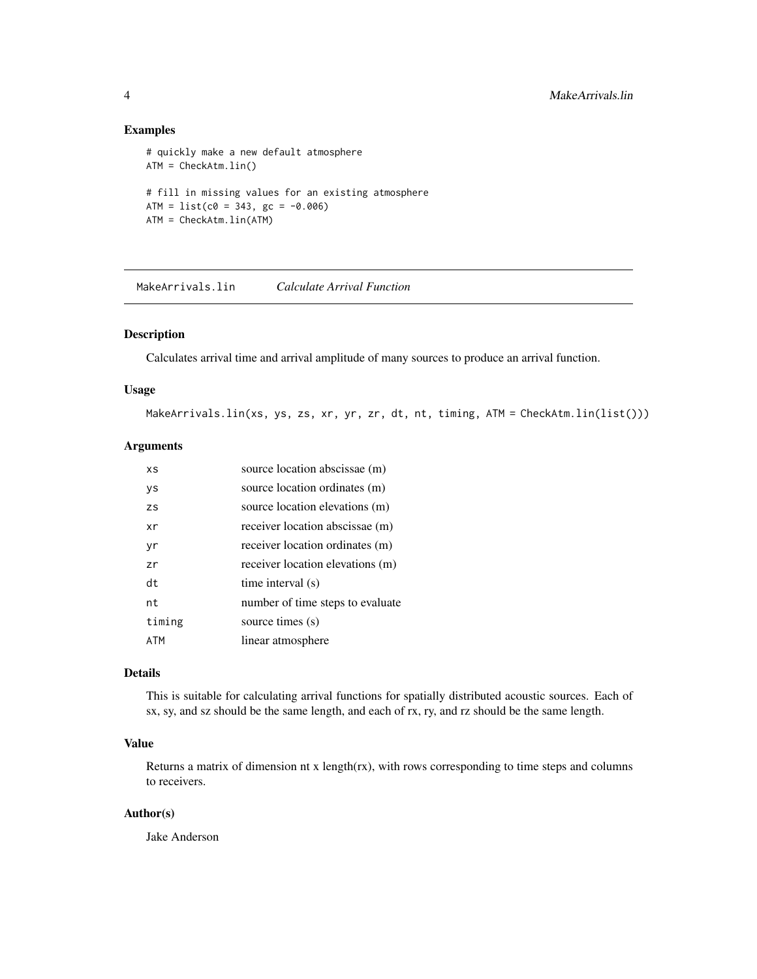#### Examples

```
# quickly make a new default atmosphere
ATM = CheckAtm.lin()
# fill in missing values for an existing atmosphere
ATM = list(c0 = 343, gc = -0.006)ATM = CheckAtm.lin(ATM)
```
MakeArrivals.lin *Calculate Arrival Function*

#### Description

Calculates arrival time and arrival amplitude of many sources to produce an arrival function.

#### Usage

MakeArrivals.lin(xs, ys, zs, xr, yr, zr, dt, nt, timing, ATM = CheckAtm.lin(list()))

#### Arguments

| ΧS        | source location abscissae (m)    |
|-----------|----------------------------------|
| ys        | source location ordinates (m)    |
| <b>ZS</b> | source location elevations (m)   |
| xr        | receiver location abscissae (m)  |
| yr        | receiver location ordinates (m)  |
| zr        | receiver location elevations (m) |
| dt        | time interval (s)                |
| nt        | number of time steps to evaluate |
| timing    | source times (s)                 |
| ATM       | linear atmosphere                |

#### Details

This is suitable for calculating arrival functions for spatially distributed acoustic sources. Each of sx, sy, and sz should be the same length, and each of rx, ry, and rz should be the same length.

#### Value

Returns a matrix of dimension nt x length(rx), with rows corresponding to time steps and columns to receivers.

#### Author(s)

Jake Anderson

<span id="page-3-0"></span>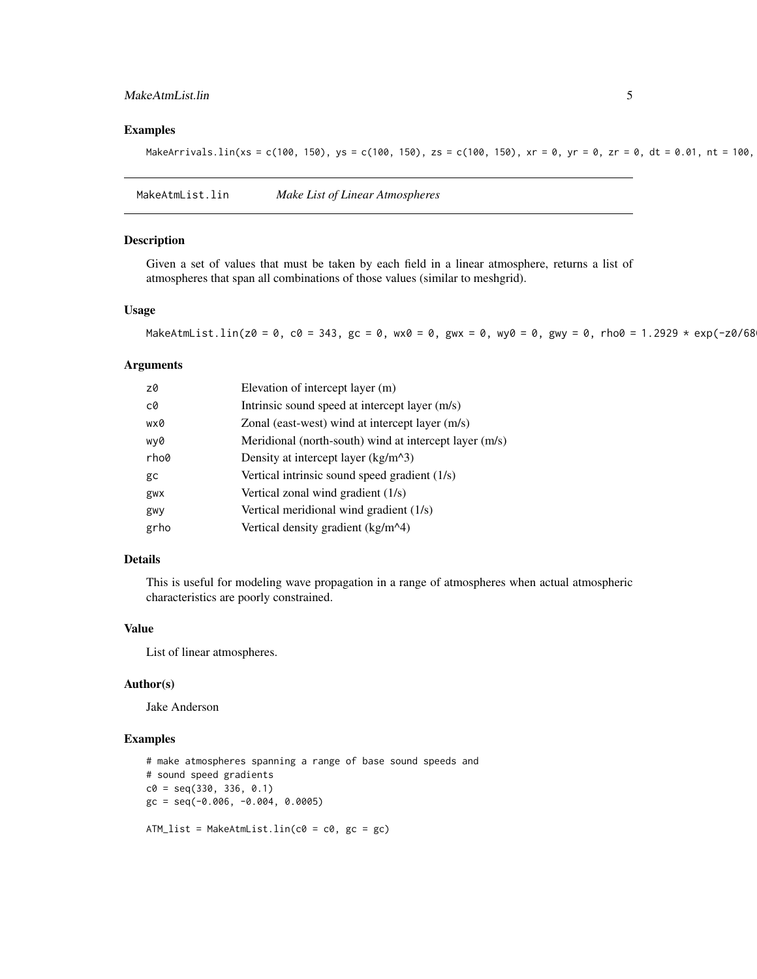#### <span id="page-4-0"></span>MakeAtmList.lin 5

#### Examples

MakeArrivals.lin(xs = c(100, 150), ys = c(100, 150), zs = c(100, 150), xr = 0, yr = 0, zr = 0, dt = 0.01, nt = 100,

MakeAtmList.lin *Make List of Linear Atmospheres*

#### Description

Given a set of values that must be taken by each field in a linear atmosphere, returns a list of atmospheres that span all combinations of those values (similar to meshgrid).

#### Usage

MakeAtmList.lin(z0 = 0, c0 = 343, gc = 0, wx0 = 0, gwx = 0, wy0 = 0, gwy = 0, rho0 = 1.2929 \* exp(-z0/68

#### Arguments

| z0   | Elevation of intercept layer (m)                       |
|------|--------------------------------------------------------|
| c0   | Intrinsic sound speed at intercept layer (m/s)         |
| wx0  | Zonal (east-west) wind at intercept layer (m/s)        |
| wy0  | Meridional (north-south) wind at intercept layer (m/s) |
| rho0 | Density at intercept layer $(kg/m^3)$                  |
| gc   | Vertical intrinsic sound speed gradient (1/s)          |
| gwx  | Vertical zonal wind gradient (1/s)                     |
| gwy  | Vertical meridional wind gradient (1/s)                |
| grho | Vertical density gradient (kg/m^4)                     |

#### Details

This is useful for modeling wave propagation in a range of atmospheres when actual atmospheric characteristics are poorly constrained.

#### Value

List of linear atmospheres.

#### Author(s)

Jake Anderson

#### Examples

```
# make atmospheres spanning a range of base sound speeds and
# sound speed gradients
c0 = seq(330, 336, 0.1)gc = seq(-0.006, -0.004, 0.0005)
```
ATM\_list = MakeAtmList.lin(c0 = c0, gc = gc)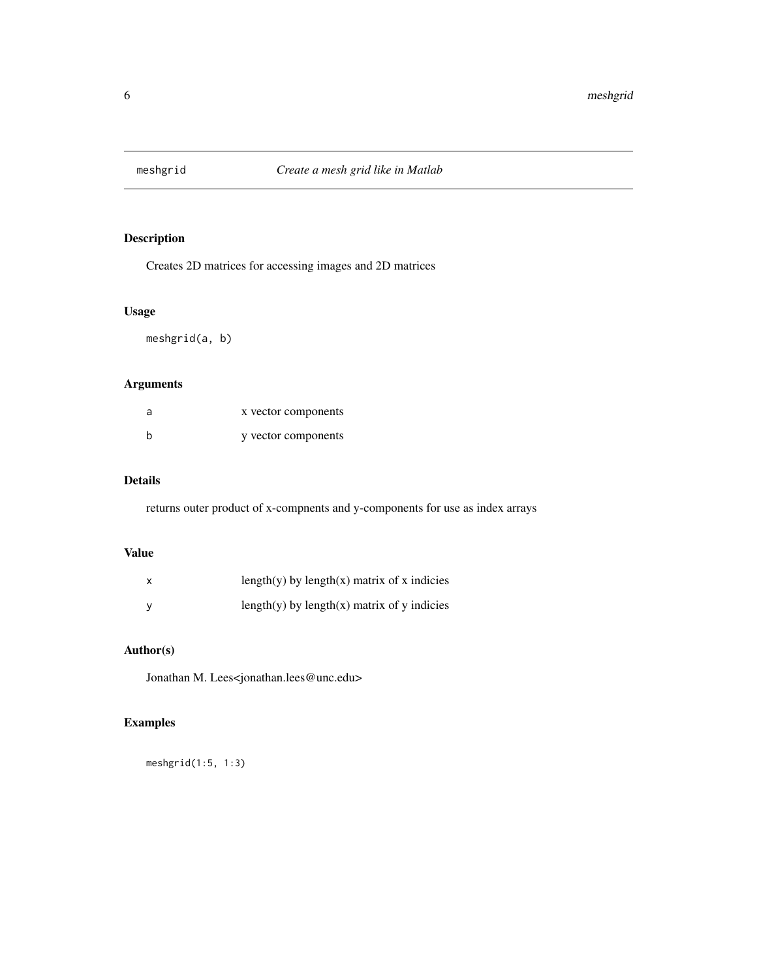<span id="page-5-0"></span>

#### Description

Creates 2D matrices for accessing images and 2D matrices

#### Usage

meshgrid(a, b)

#### Arguments

| a | x vector components |
|---|---------------------|
| b | y vector components |

#### Details

returns outer product of x-compnents and y-components for use as index arrays

#### Value

| $\boldsymbol{\mathsf{x}}$ | length(y) by length(x) matrix of x indicies |
|---------------------------|---------------------------------------------|
| <b>V</b>                  | length(y) by length(x) matrix of y indicies |

#### Author(s)

Jonathan M. Lees<jonathan.lees@unc.edu>

#### Examples

meshgrid(1:5, 1:3)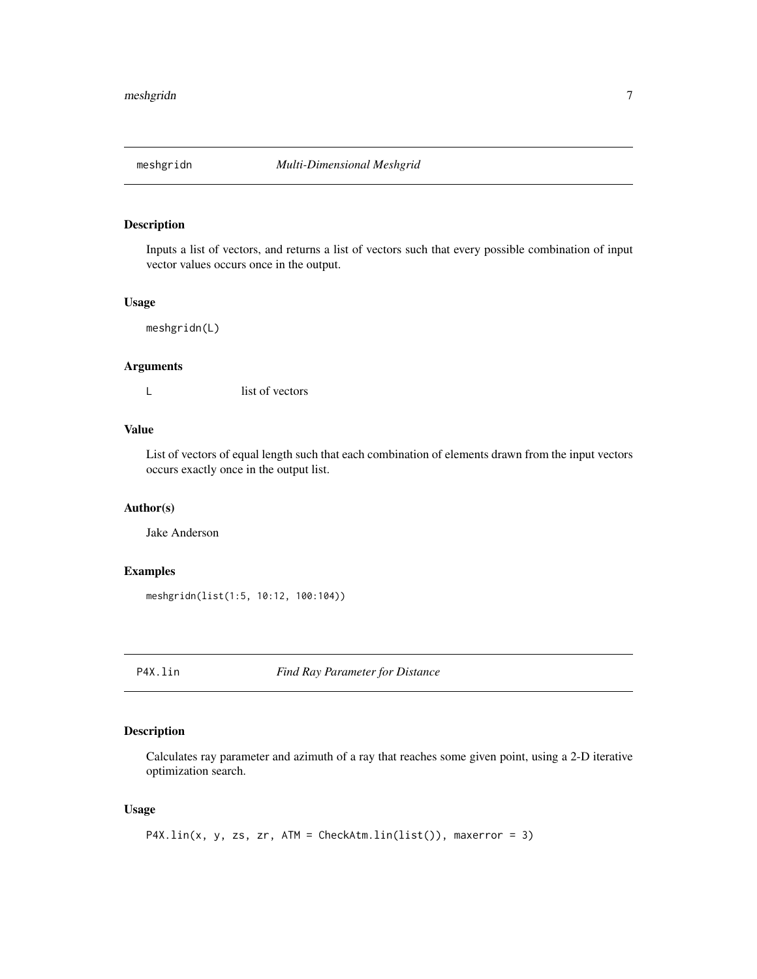<span id="page-6-0"></span>

#### Description

Inputs a list of vectors, and returns a list of vectors such that every possible combination of input vector values occurs once in the output.

#### Usage

meshgridn(L)

#### Arguments

L list of vectors

#### Value

List of vectors of equal length such that each combination of elements drawn from the input vectors occurs exactly once in the output list.

#### Author(s)

Jake Anderson

#### Examples

meshgridn(list(1:5, 10:12, 100:104))

P4X.lin *Find Ray Parameter for Distance*

#### Description

Calculates ray parameter and azimuth of a ray that reaches some given point, using a 2-D iterative optimization search.

#### Usage

P4X.lin(x, y, zs, zr, ATM = CheckAtm.lin(list()), maxerror = 3)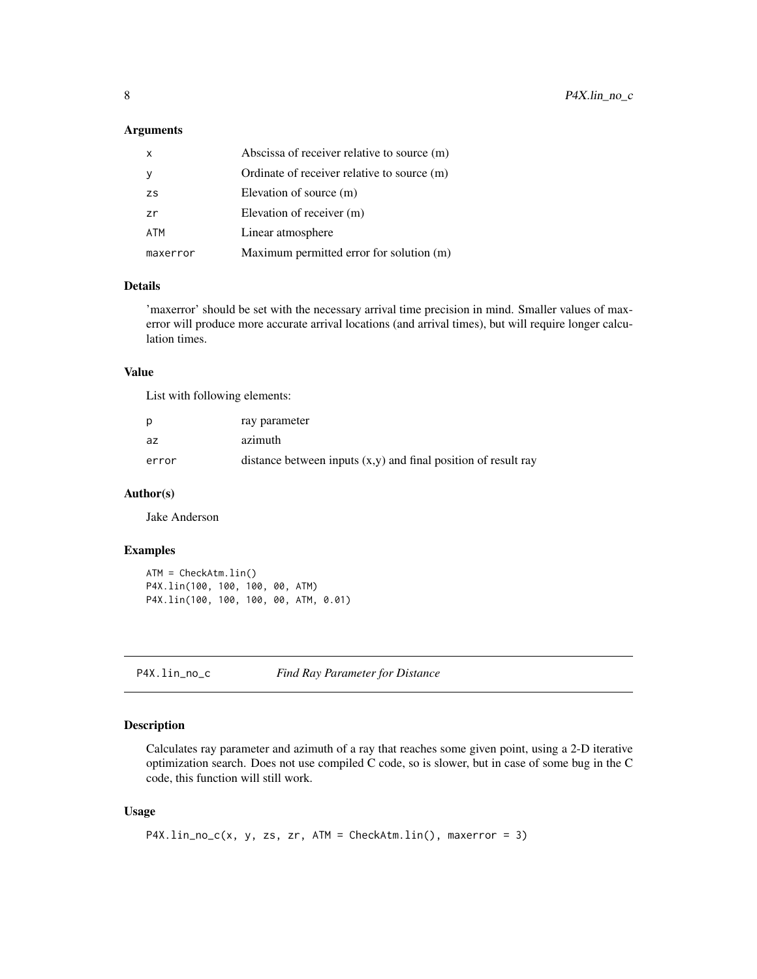#### <span id="page-7-0"></span>Arguments

| $\mathsf{x}$ | Abscissa of receiver relative to source (m) |
|--------------|---------------------------------------------|
| - y          | Ordinate of receiver relative to source (m) |
| <b>ZS</b>    | Elevation of source (m)                     |
| zr           | Elevation of receiver (m)                   |
| ATM          | Linear atmosphere                           |
| maxerror     | Maximum permitted error for solution (m)    |

#### Details

'maxerror' should be set with the necessary arrival time precision in mind. Smaller values of maxerror will produce more accurate arrival locations (and arrival times), but will require longer calculation times.

#### Value

List with following elements:

| D     | ray parameter                                                    |
|-------|------------------------------------------------------------------|
| az    | azimuth                                                          |
| error | distance between inputs $(x,y)$ and final position of result ray |

#### Author(s)

Jake Anderson

#### Examples

```
ATM = CheckAtm.lin()
P4X.lin(100, 100, 100, 00, ATM)
P4X.lin(100, 100, 100, 00, ATM, 0.01)
```
P4X.lin\_no\_c *Find Ray Parameter for Distance*

#### Description

Calculates ray parameter and azimuth of a ray that reaches some given point, using a 2-D iterative optimization search. Does not use compiled C code, so is slower, but in case of some bug in the C code, this function will still work.

#### Usage

```
P4X.lin_no_c(x, y, zs, zr, ATM = CheckAtm.lin(), maxerror = 3)
```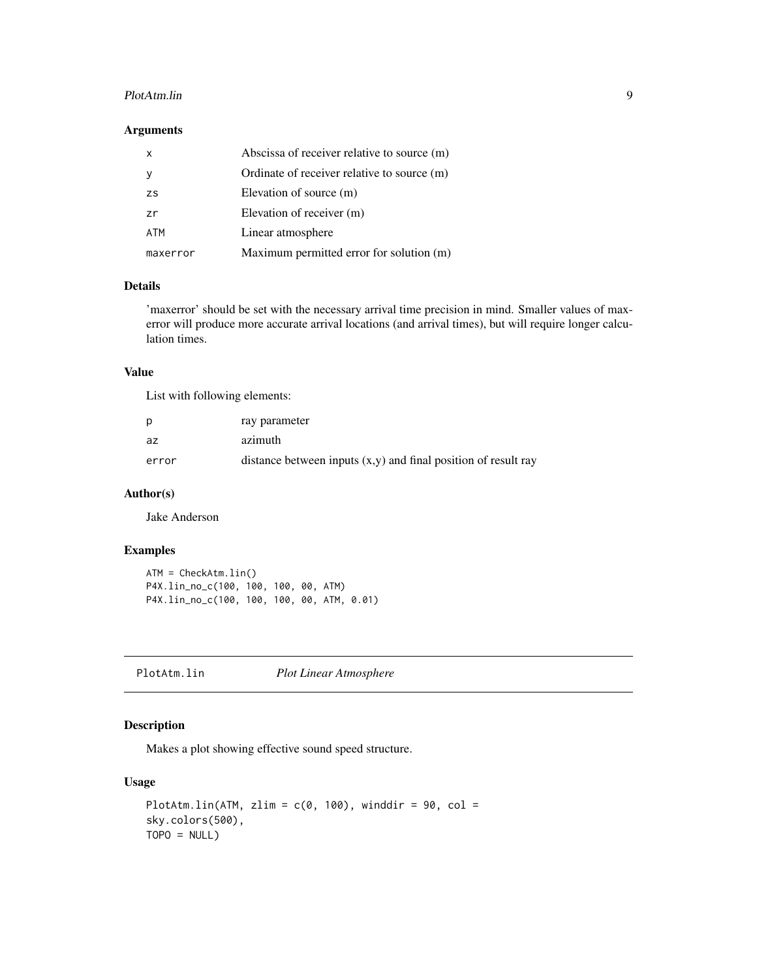#### <span id="page-8-0"></span>PlotAtm.lin 9

#### Arguments

| $\mathsf{x}$     | Abscissa of receiver relative to source (m) |
|------------------|---------------------------------------------|
|                  | Ordinate of receiver relative to source (m) |
| <b>ZS</b>        | Elevation of source (m)                     |
| $\overline{z}$ r | Elevation of receiver (m)                   |
| <b>ATM</b>       | Linear atmosphere                           |
| maxerror         | Maximum permitted error for solution (m)    |

#### Details

'maxerror' should be set with the necessary arrival time precision in mind. Smaller values of maxerror will produce more accurate arrival locations (and arrival times), but will require longer calculation times.

#### Value

List with following elements:

| D     | ray parameter                                                    |
|-------|------------------------------------------------------------------|
| az    | azimuth                                                          |
| error | distance between inputs $(x,y)$ and final position of result ray |

#### Author(s)

Jake Anderson

#### Examples

```
ATM = CheckAtm.lin()
P4X.lin_no_c(100, 100, 100, 00, ATM)
P4X.lin_no_c(100, 100, 100, 00, ATM, 0.01)
```
PlotAtm.lin *Plot Linear Atmosphere*

#### Description

Makes a plot showing effective sound speed structure.

#### Usage

```
PlotAtm.lin(ATM, zlim = c(0, 100), winddir = 90, col =sky.colors(500),
TOPO = NULL
```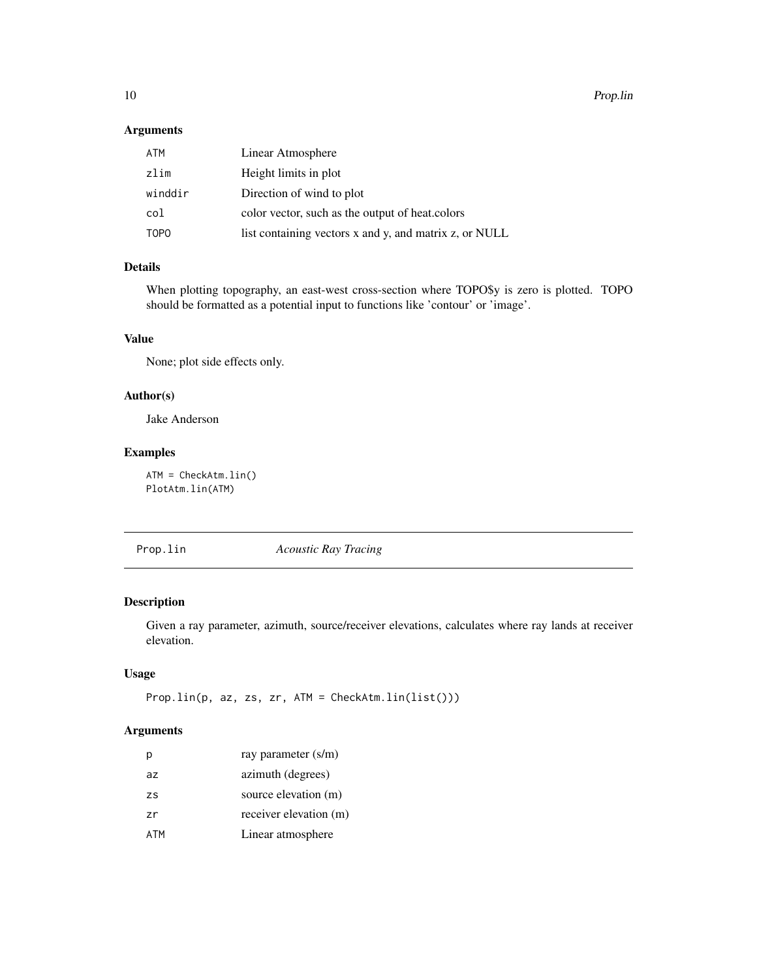<span id="page-9-0"></span>10 Prop.lin

#### Arguments

| ATM         | Linear Atmosphere                                      |
|-------------|--------------------------------------------------------|
| zlim        | Height limits in plot                                  |
| winddir     | Direction of wind to plot                              |
| col         | color vector, such as the output of heat colors        |
| <b>TOPO</b> | list containing vectors x and y, and matrix z, or NULL |

#### Details

When plotting topography, an east-west cross-section where TOPO\$y is zero is plotted. TOPO should be formatted as a potential input to functions like 'contour' or 'image'.

#### Value

None; plot side effects only.

#### Author(s)

Jake Anderson

#### Examples

ATM = CheckAtm.lin() PlotAtm.lin(ATM)

Prop.lin *Acoustic Ray Tracing*

#### Description

Given a ray parameter, azimuth, source/receiver elevations, calculates where ray lands at receiver elevation.

#### Usage

```
Prop.lin(p, az, zs, zr, ATM = CheckAtm.lin(list()))
```
#### Arguments

| р   | ray parameter (s/m)    |
|-----|------------------------|
| az  | azimuth (degrees)      |
| ZS  | source elevation (m)   |
| zr  | receiver elevation (m) |
| ATM | Linear atmosphere      |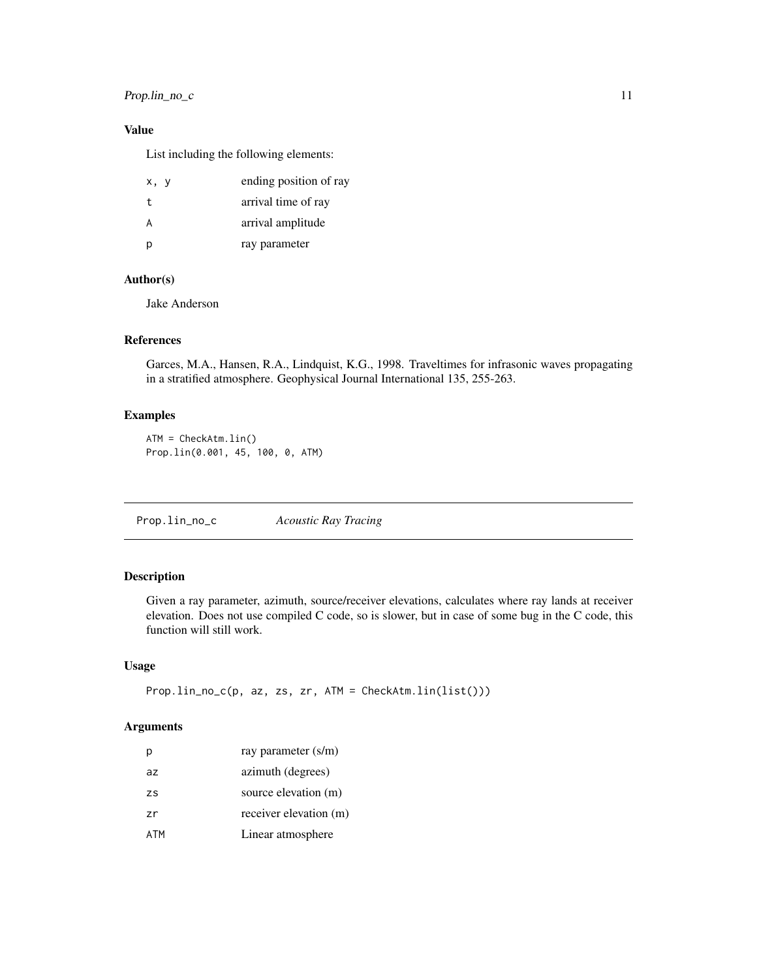#### <span id="page-10-0"></span>Prop.lin\_no\_c 11

#### Value

List including the following elements:

| x, y | ending position of ray |
|------|------------------------|
| t    | arrival time of ray    |
| A    | arrival amplitude      |
| p    | ray parameter          |

#### Author(s)

Jake Anderson

#### References

Garces, M.A., Hansen, R.A., Lindquist, K.G., 1998. Traveltimes for infrasonic waves propagating in a stratified atmosphere. Geophysical Journal International 135, 255-263.

#### Examples

ATM = CheckAtm.lin() Prop.lin(0.001, 45, 100, 0, ATM)

Prop.lin\_no\_c *Acoustic Ray Tracing*

#### Description

Given a ray parameter, azimuth, source/receiver elevations, calculates where ray lands at receiver elevation. Does not use compiled C code, so is slower, but in case of some bug in the C code, this function will still work.

#### Usage

```
Prop.lin_no_c(p, az, zs, zr, ATM = CheckAtm.lin(list()))
```
#### Arguments

| р         | ray parameter (s/m)    |
|-----------|------------------------|
| az        | azimuth (degrees)      |
| <b>ZS</b> | source elevation (m)   |
| zr        | receiver elevation (m) |
| ATM       | Linear atmosphere      |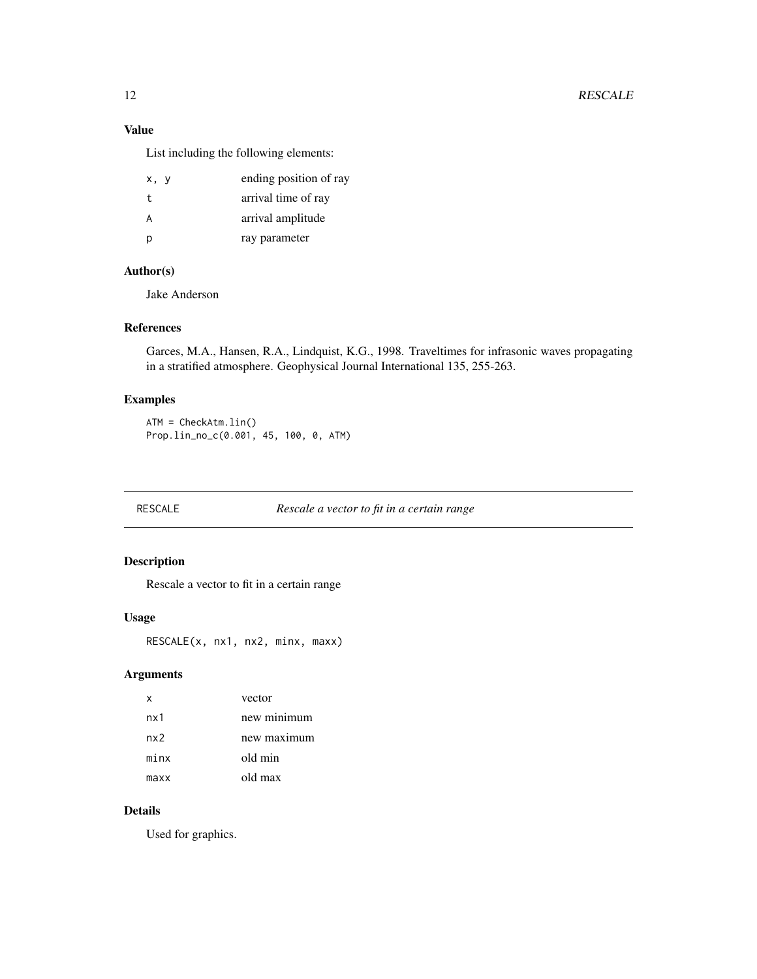#### <span id="page-11-0"></span>Value

List including the following elements:

| x, y | ending position of ray |
|------|------------------------|
| t.   | arrival time of ray    |
| Α    | arrival amplitude      |
| D    | ray parameter          |

#### Author(s)

Jake Anderson

#### References

Garces, M.A., Hansen, R.A., Lindquist, K.G., 1998. Traveltimes for infrasonic waves propagating in a stratified atmosphere. Geophysical Journal International 135, 255-263.

#### Examples

ATM = CheckAtm.lin() Prop.lin\_no\_c(0.001, 45, 100, 0, ATM)

RESCALE *Rescale a vector to fit in a certain range*

#### Description

Rescale a vector to fit in a certain range

#### Usage

RESCALE(x, nx1, nx2, minx, maxx)

#### Arguments

| х    | vector      |
|------|-------------|
| nx1  | new minimum |
| nx2  | new maximum |
| minx | old min     |
| maxx | old max     |

#### Details

Used for graphics.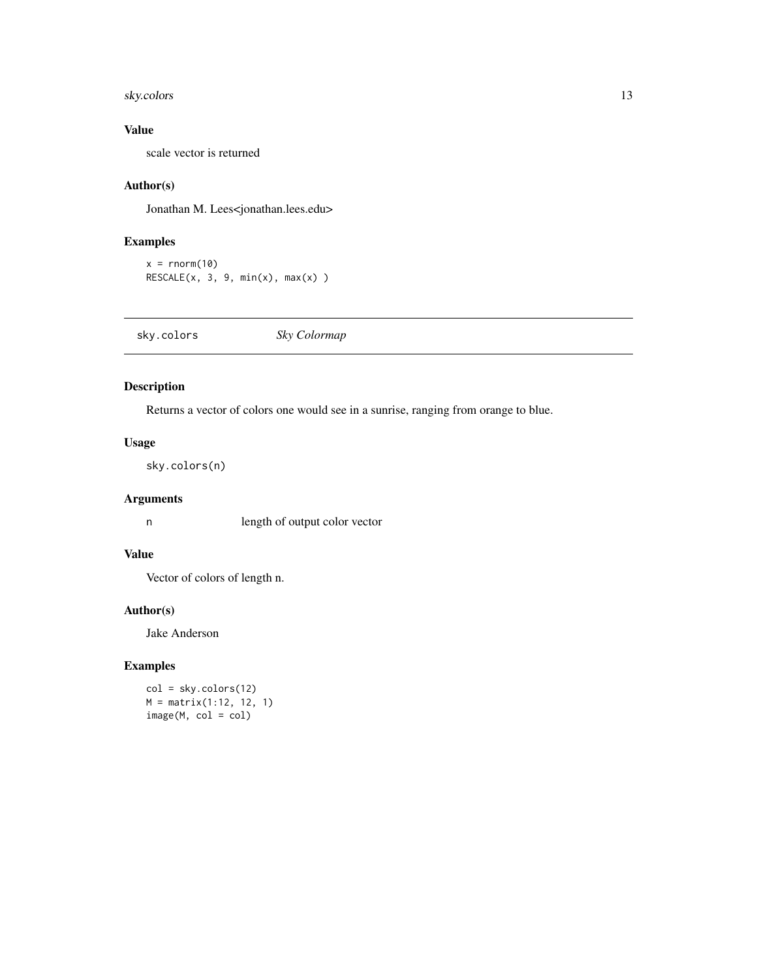#### <span id="page-12-0"></span>sky.colors 13

#### Value

scale vector is returned

#### Author(s)

Jonathan M. Lees<jonathan.lees.edu>

#### Examples

```
x = rnorm(10)RESCALE(x, 3, 9, min(x), max(x))
```
sky.colors *Sky Colormap*

#### Description

Returns a vector of colors one would see in a sunrise, ranging from orange to blue.

#### Usage

sky.colors(n)

#### Arguments

n length of output color vector

#### Value

Vector of colors of length n.

#### Author(s)

Jake Anderson

#### Examples

col = sky.colors(12) M = matrix(1:12, 12, 1) image(M, col = col)